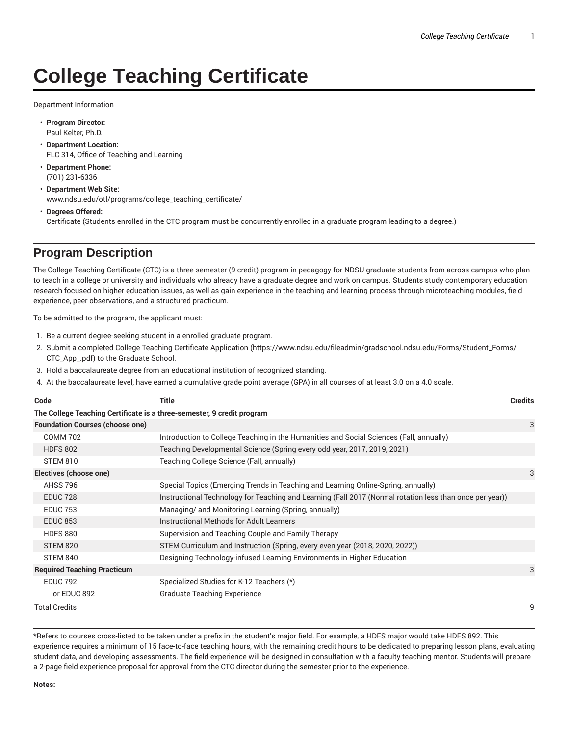## **College Teaching Certificate**

Department Information

- **Program Director:** Paul Kelter, Ph.D.
- **Department Location:** FLC 314, Office of Teaching and Learning
- **Department Phone:** (701) 231-6336
- **Department Web Site:** www.ndsu.edu/otl/programs/college\_teaching\_certificate/
- **Degrees Offered:** Certificate (Students enrolled in the CTC program must be concurrently enrolled in a graduate program leading to a degree.)

## **Program Description**

The College Teaching Certificate (CTC) is a three-semester (9 credit) program in pedagogy for NDSU graduate students from across campus who plan to teach in a college or university and individuals who already have a graduate degree and work on campus. Students study contemporary education research focused on higher education issues, as well as gain experience in the teaching and learning process through microteaching modules, field experience, peer observations, and a structured practicum.

To be admitted to the program, the applicant must:

- 1. Be a current degree-seeking student in a enrolled graduate program.
- 2. Submit a completed College Teaching Certificate Application (https://www.ndsu.edu/fileadmin/gradschool.ndsu.edu/Forms/Student\_Forms/ CTC\_App\_.pdf) to the Graduate School.
- 3. Hold a baccalaureate degree from an educational institution of recognized standing.
- 4. At the baccalaureate level, have earned a cumulative grade point average (GPA) in all courses of at least 3.0 on a 4.0 scale.

| Code                                                                   | <b>Title</b>                                                                                             | <b>Credits</b> |
|------------------------------------------------------------------------|----------------------------------------------------------------------------------------------------------|----------------|
| The College Teaching Certificate is a three-semester, 9 credit program |                                                                                                          |                |
| <b>Foundation Courses (choose one)</b>                                 |                                                                                                          | 3              |
| <b>COMM 702</b>                                                        | Introduction to College Teaching in the Humanities and Social Sciences (Fall, annually)                  |                |
| <b>HDFS 802</b>                                                        | Teaching Developmental Science (Spring every odd year, 2017, 2019, 2021)                                 |                |
| <b>STEM 810</b>                                                        | Teaching College Science (Fall, annually)                                                                |                |
| Electives (choose one)                                                 |                                                                                                          | 3              |
| <b>AHSS 796</b>                                                        | Special Topics (Emerging Trends in Teaching and Learning Online-Spring, annually)                        |                |
| <b>EDUC 728</b>                                                        | Instructional Technology for Teaching and Learning (Fall 2017 (Normal rotation less than once per year)) |                |
| <b>EDUC 753</b>                                                        | Managing/ and Monitoring Learning (Spring, annually)                                                     |                |
| <b>EDUC 853</b>                                                        | Instructional Methods for Adult Learners                                                                 |                |
| <b>HDFS 880</b>                                                        | Supervision and Teaching Couple and Family Therapy                                                       |                |
| <b>STEM 820</b>                                                        | STEM Curriculum and Instruction (Spring, every even year (2018, 2020, 2022))                             |                |
| STEM 840                                                               | Designing Technology-infused Learning Environments in Higher Education                                   |                |
| <b>Required Teaching Practicum</b>                                     |                                                                                                          | 3              |
| <b>EDUC 792</b>                                                        | Specialized Studies for K-12 Teachers (*)                                                                |                |
| or EDUC 892                                                            | <b>Graduate Teaching Experience</b>                                                                      |                |
| Total Credits                                                          |                                                                                                          | 9              |

\*Refers to courses cross-listed to be taken under a prefix in the student's major field. For example, a HDFS major would take HDFS 892. This experience requires a minimum of 15 face-to-face teaching hours, with the remaining credit hours to be dedicated to preparing lesson plans, evaluating student data, and developing assessments. The field experience will be designed in consultation with a faculty teaching mentor. Students will prepare a 2-page field experience proposal for approval from the CTC director during the semester prior to the experience.